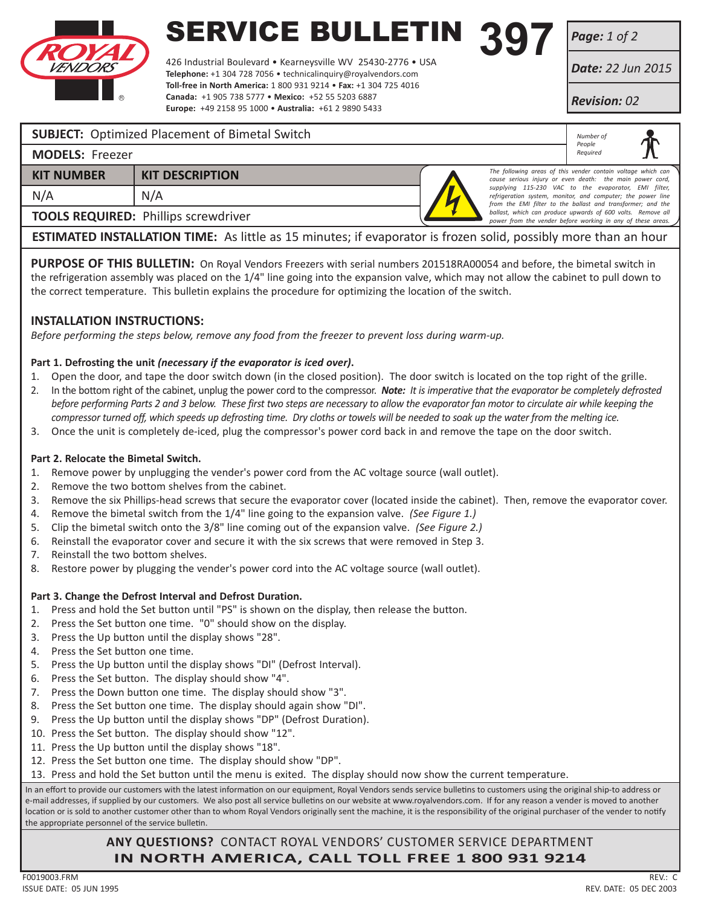

# **SERVICE BULLETIN 397**<br>426 Industrial Boulevard • Kearneysville WV 25430-2776 • USA

426 Industrial Boulevard • Kearneysville WV 25430-2776 • USA **Telephone:** +1 304 728 7056 • technicalinquiry@royalvendors.com **Toll-free in North America:** 1 800 931 9214 • **Fax:** +1 304 725 4016 **Canada:** +1 905 738 5777 • **Mexico:** +52 55 5203 6887 **Europe:** +49 2158 95 1000 • **Australia:** +61 2 9890 5433

*Page: 1 of 2*

*Date: 22 Jun 2015*

*Revision: 02*

*Number of People Required*

### **SUBJECT:** Optimized Placement of Bimetal Switch

| <b>MODELS: Freezer</b> |  |
|------------------------|--|
|------------------------|--|

| <b>KIT NUMBER</b> | <b>KIT DESCRIPTION</b> |
|-------------------|------------------------|
| N/A               | N/A                    |

**TOOLS REQUIRED:** Phillips screwdriver

*The following areas of this vender contain voltage which can cause serious injury or even death: the main power cord, supplying 115-230 VAC to the evaporator, EMI filter, refrigeration system, monitor, and computer; the power line from the EMI filter to the ballast and transformer; and the*  ballast, which can produce upwards of 600 volts. Remove all *power from the vender before working in any of these areas.*

**ESTIMATED INSTALLATION TIME:** As little as 15 minutes; if evaporator is frozen solid, possibly more than an hour

PURPOSE OF THIS BULLETIN: On Royal Vendors Freezers with serial numbers 201518RA00054 and before, the bimetal switch in the refrigeration assembly was placed on the 1/4" line going into the expansion valve, which may not allow the cabinet to pull down to the correct temperature. This bulletin explains the procedure for optimizing the location of the switch.

### **INSTALLATION INSTRUCTIONS:**

*Before performing the steps below, remove any food from the freezer to prevent loss during warm-up.*

### **Part 1. Defrosting the unit** *(necessary if the evaporator is iced over)***.**

- 1. Open the door, and tape the door switch down (in the closed position). The door switch is located on the top right of the grille.
- 2. In the bottom right of the cabinet, unplug the power cord to the compressor. *Note: It is imperative that the evaporator be completely defrosted before performing Parts 2 and 3 below. These first two steps are necessary to allow the evaporator fan motor to circulate air while keeping the compressor turned off, which speeds up defrosting time. Dry cloths or towels will be needed to soak up the water from the melting ice.*
- 3. Once the unit is completely de-iced, plug the compressor's power cord back in and remove the tape on the door switch.

#### **Part 2. Relocate the Bimetal Switch.**

- 1. Remove power by unplugging the vender's power cord from the AC voltage source (wall outlet).
- 2. Remove the two bottom shelves from the cabinet.
- 3. Remove the six Phillips-head screws that secure the evaporator cover (located inside the cabinet). Then, remove the evaporator cover.
- 4. Remove the bimetal switch from the 1/4" line going to the expansion valve. *(See Figure 1.)*
- 5. Clip the bimetal switch onto the 3/8" line coming out of the expansion valve. *(See Figure 2.)*
- 6. Reinstall the evaporator cover and secure it with the six screws that were removed in Step 3.
- 7. Reinstall the two bottom shelves.
- 8. Restore power by plugging the vender's power cord into the AC voltage source (wall outlet).

### **Part 3. Change the Defrost Interval and Defrost Duration.**

- 1. Press and hold the Set button until "PS" is shown on the display, then release the button.
- 2. Press the Set button one time. "0" should show on the display.
- 3. Press the Up button until the display shows "28".
- 4. Press the Set button one time.
- 5. Press the Up button until the display shows "DI" (Defrost Interval).
- 6. Press the Set button. The display should show "4".
- 7. Press the Down button one time. The display should show "3".
- 8. Press the Set button one time. The display should again show "DI".
- 9. Press the Up button until the display shows "DP" (Defrost Duration).
- 10. Press the Set button. The display should show "12".
- 11. Press the Up button until the display shows "18".
- 12. Press the Set button one time. The display should show "DP".
- 13. Press and hold the Set button until the menu is exited. The display should now show the current temperature.

In an effort to provide our customers with the latest information on our equipment, Royal Vendors sends service bulletins to customers using the original ship-to address or e-mail addresses, if supplied by our customers. We also post all service bulletins on our website at www.royalvendors.com. If for any reason a vender is moved to another location or is sold to another customer other than to whom Royal Vendors originally sent the machine, it is the responsibility of the original purchaser of the vender to notify the appropriate personnel of the service bulletin.

## **ANY QUESTIONS?** CONTACT ROYAL VENDORS' CUSTOMER SERVICE DEPARTMENT **IN NORTH AMERICA, CALL TOLL FREE 1 800 931 9214**